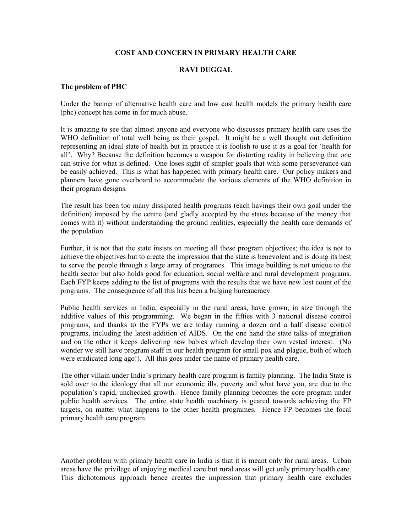## **COST AND CONCERN IN PRIMARY HEALTH CARE**

## **RAVI DUGGAL**

## **The problem of PHC**

Under the banner of alternative health care and low cost health models the primary health care (phc) concept has come in for much abuse.

It is amazing to see that almost anyone and everyone who discusses primary health care uses the WHO definition of total well being as their gospel. It might be a well thought out definition representing an ideal state of health but in practice it is foolish to use it as a goal for 'health for all'. Why? Because the definition becomes a weapon for distorting reality in believing that one can strive for what is defined. One loses sight of simpler goals that with some perseverance can be easily achieved. This is what has happened with primary health care. Our policy makers and planners have gone overboard to accommodate the various elements of the WHO definition in their program designs.

The result has been too many dissipated health programs (each havings their own goal under the definition) imposed by the centre (and gladly accepted by the states because of the money that comes with it) without understanding the ground realities, especially the health care demands of the population.

Further, it is not that the state insists on meeting all these program objectives; the idea is not to achieve the objectives but to create the impression that the state is benevolent and is doing its best to serve the people through a large array of programes. This image building is not unique to the health sector but also holds good for education, social welfare and rural development programs. Each FYP keeps adding to the list of programs with the results that we have new lost count of the programs. The consequence of all this has been a bulging bureaucracy.

Public health services in India, especially in the rural areas, have grown, in size through the additive values of this programming. We began in the fifties with 3 national disease control programs, and thanks to the FYPs we are today running a dozen and a half disease control programs, including the latest addition of AIDS. On the one hand the state talks of integration and on the other it keeps delivering new babies which develop their own vested interest. (No wonder we still have program staff in our health program for small pox and plague, both of which were eradicated long ago!). All this goes under the name of primary health care.

The other villain under India's primary health care program is family planning. The India State is sold over to the ideology that all our economic ills, poverty and what have you, are due to the population's rapid, unchecked growth. Hence family planning becomes the core program under public health services. The entire state health machinery is geared towards achieving the FP targets, on matter what happens to the other health programes. Hence FP becomes the focal primary health care program.

Another problem with primary health care in India is that it is meant only for rural areas. Urban areas have the privilege of enjoying medical care but rural areas will get only primary health care. This dichotomous approach hence creates the impression that primary health care excludes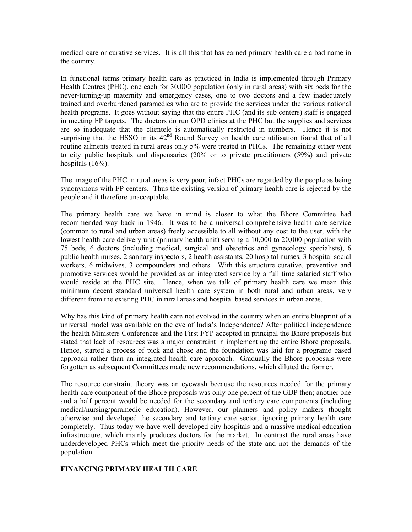medical care or curative services. It is all this that has earned primary health care a bad name in the country.

In functional terms primary health care as practiced in India is implemented through Primary Health Centres (PHC), one each for 30,000 population (only in rural areas) with six beds for the never-turning-up maternity and emergency cases, one to two doctors and a few inadequately trained and overburdened paramedics who are to provide the services under the various national health programs. It goes without saying that the entire PHC (and its sub centers) staff is engaged in meeting FP targets. The doctors do run OPD clinics at the PHC but the supplies and services are so inadequate that the clientele is automatically restricted in numbers. Hence it is not surprising that the HSSO in its  $42<sup>nd</sup>$  Round Survey on health care utilisation found that of all routine ailments treated in rural areas only 5% were treated in PHCs. The remaining either went to city public hospitals and dispensaries (20% or to private practitioners (59%) and private hospitals (16%).

The image of the PHC in rural areas is very poor, infact PHCs are regarded by the people as being synonymous with FP centers. Thus the existing version of primary health care is rejected by the people and it therefore unacceptable.

The primary health care we have in mind is closer to what the Bhore Committee had recommended way back in 1946. It was to be a universal comprehensive health care service (common to rural and urban areas) freely accessible to all without any cost to the user, with the lowest health care delivery unit (primary health unit) serving a 10,000 to 20,000 population with 75 beds, 6 doctors (including medical, surgical and obstetrics and gynecology specialists), 6 public health nurses, 2 sanitary inspectors, 2 health assistants, 20 hospital nurses, 3 hospital social workers, 6 midwives, 3 compounders and others. With this structure curative, preventive and promotive services would be provided as an integrated service by a full time salaried staff who would reside at the PHC site. Hence, when we talk of primary health care we mean this minimum decent standard universal health care system in both rural and urban areas, very different from the existing PHC in rural areas and hospital based services in urban areas.

Why has this kind of primary health care not evolved in the country when an entire blueprint of a universal model was available on the eve of India's Independence? After political independence the health Ministers Conferences and the First FYP accepted in principal the Bhore proposals but stated that lack of resources was a major constraint in implementing the entire Bhore proposals. Hence, started a process of pick and chose and the foundation was laid for a programe based approach rather than an integrated health care approach. Gradually the Bhore proposals were forgotten as subsequent Committees made new recommendations, which diluted the former.

The resource constraint theory was an eyewash because the resources needed for the primary health care component of the Bhore proposals was only one percent of the GDP then; another one and a half percent would be needed for the secondary and tertiary care components (including medical/nursing/paramedic education). However, our planners and policy makers thought otherwise and developed the secondary and tertiary care sector, ignoring primary health care completely. Thus today we have well developed city hospitals and a massive medical education infrastructure, which mainly produces doctors for the market. In contrast the rural areas have underdeveloped PHCs which meet the priority needs of the state and not the demands of the population.

## **FINANCING PRIMARY HEALTH CARE**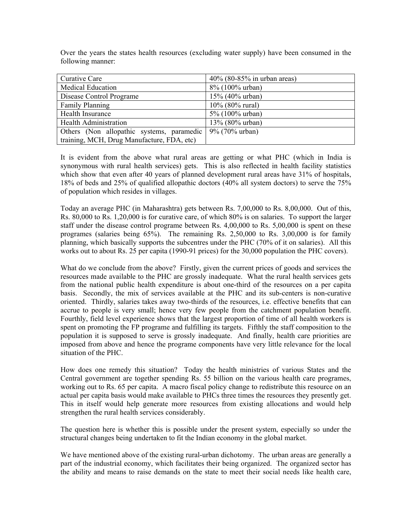Over the years the states health resources (excluding water supply) have been consumed in the following manner:

| Curative Care                              | $40\%$ (80-85% in urban areas) |
|--------------------------------------------|--------------------------------|
| Medical Education                          | 8% (100% urban)                |
| Disease Control Programe                   | 15% (40% urban)                |
| <b>Family Planning</b>                     | 10% (80% rural)                |
| Health Insurance                           | 5% (100% urban)                |
| <b>Health Administration</b>               | 13% (80% urban)                |
| Others (Non allopathic systems, paramedic  | $9\%$ (70% urban)              |
| training, MCH, Drug Manufacture, FDA, etc) |                                |

It is evident from the above what rural areas are getting or what PHC (which in India is synonymous with rural health services) gets. This is also reflected in health facility statistics which show that even after 40 years of planned development rural areas have 31% of hospitals, 18% of beds and 25% of qualified allopathic doctors (40% all system doctors) to serve the 75% of population which resides in villages.

Today an average PHC (in Maharashtra) gets between Rs. 7,00,000 to Rs. 8,00,000. Out of this, Rs. 80,000 to Rs. 1,20,000 is for curative care, of which 80% is on salaries. To support the larger staff under the disease control programe between Rs. 4,00,000 to Rs. 5,00,000 is spent on these programes (salaries being 65%). The remaining Rs. 2,50,000 to Rs. 3,00,000 is for family planning, which basically supports the subcentres under the PHC (70% of it on salaries). All this works out to about Rs. 25 per capita (1990-91 prices) for the 30,000 population the PHC covers).

What do we conclude from the above? Firstly, given the current prices of goods and services the resources made available to the PHC are grossly inadequate. What the rural health services gets from the national public health expenditure is about one-third of the resources on a per capita basis. Secondly, the mix of services available at the PHC and its sub-centers is non-curative oriented. Thirdly, salaries takes away two-thirds of the resources, i.e. effective benefits that can accrue to people is very small; hence very few people from the catchment population benefit. Fourthly, field level experience shows that the largest proportion of time of all health workers is spent on promoting the FP programe and fulfilling its targets. Fifthly the staff composition to the population it is supposed to serve is grossly inadequate. And finally, health care priorities are imposed from above and hence the programe components have very little relevance for the local situation of the PHC.

How does one remedy this situation? Today the health ministries of various States and the Central government are together spending Rs. 55 billion on the various health care programes, working out to Rs. 65 per capita. A macro fiscal policy change to redistribute this resource on an actual per capita basis would make available to PHCs three times the resources they presently get. This in itself would help generate more resources from existing allocations and would help strengthen the rural health services considerably.

The question here is whether this is possible under the present system, especially so under the structural changes being undertaken to fit the Indian economy in the global market.

We have mentioned above of the existing rural-urban dichotomy. The urban areas are generally a part of the industrial economy, which facilitates their being organized. The organized sector has the ability and means to raise demands on the state to meet their social needs like health care,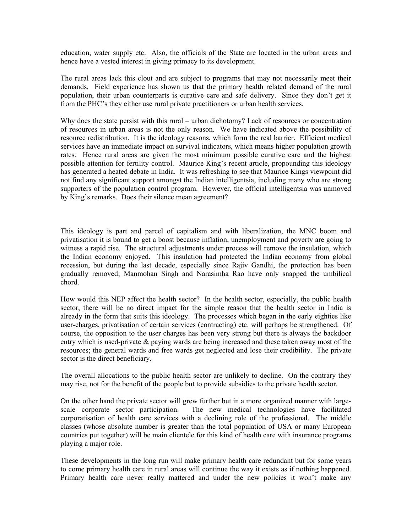education, water supply etc. Also, the officials of the State are located in the urban areas and hence have a vested interest in giving primacy to its development.

The rural areas lack this clout and are subject to programs that may not necessarily meet their demands. Field experience has shown us that the primary health related demand of the rural population, their urban counterparts is curative care and safe delivery. Since they don't get it from the PHC's they either use rural private practitioners or urban health services.

Why does the state persist with this rural – urban dichotomy? Lack of resources or concentration of resources in urban areas is not the only reason. We have indicated above the possibility of resource redistribution. It is the ideology reasons, which form the real barrier. Efficient medical services have an immediate impact on survival indicators, which means higher population growth rates. Hence rural areas are given the most minimum possible curative care and the highest possible attention for fertility control. Maurice King's recent article, propounding this ideology has generated a heated debate in India. It was refreshing to see that Maurice Kings viewpoint did not find any significant support amongst the Indian intelligentsia, including many who are strong supporters of the population control program. However, the official intelligentsia was unmoved by King's remarks. Does their silence mean agreement?

This ideology is part and parcel of capitalism and with liberalization, the MNC boom and privatisation it is bound to get a boost because inflation, unemployment and poverty are going to witness a rapid rise. The structural adjustments under process will remove the insulation, which the Indian economy enjoyed. This insulation had protected the Indian economy from global recession, but during the last decade, especially since Rajiv Gandhi, the protection has been gradually removed; Manmohan Singh and Narasimha Rao have only snapped the umbilical chord.

How would this NEP affect the health sector? In the health sector, especially, the public health sector, there will be no direct impact for the simple reason that the health sector in India is already in the form that suits this ideology. The processes which began in the early eighties like user-charges, privatisation of certain services (contracting) etc. will perhaps be strengthened. Of course, the opposition to the user charges has been very strong but there is always the backdoor entry which is used-private & paying wards are being increased and these taken away most of the resources; the general wards and free wards get neglected and lose their credibility. The private sector is the direct beneficiary.

The overall allocations to the public health sector are unlikely to decline. On the contrary they may rise, not for the benefit of the people but to provide subsidies to the private health sector.

On the other hand the private sector will grew further but in a more organized manner with largescale corporate sector participation. The new medical technologies have facilitated corporatisation of health care services with a declining role of the professional. The middle classes (whose absolute number is greater than the total population of USA or many European countries put together) will be main clientele for this kind of health care with insurance programs playing a major role.

These developments in the long run will make primary health care redundant but for some years to come primary health care in rural areas will continue the way it exists as if nothing happened. Primary health care never really mattered and under the new policies it won't make any